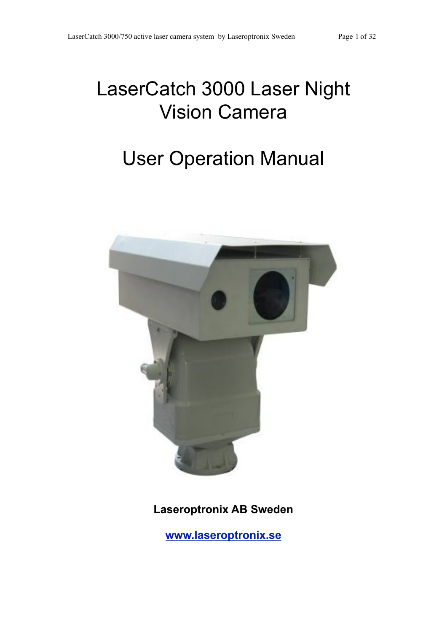# LaserCatch 3000 Laser Night Vision Camera

# User Operation Manual



**Laseroptronix AB Sweden**

**[www.laseroptronix.se](http://www.laseroptronix.se)**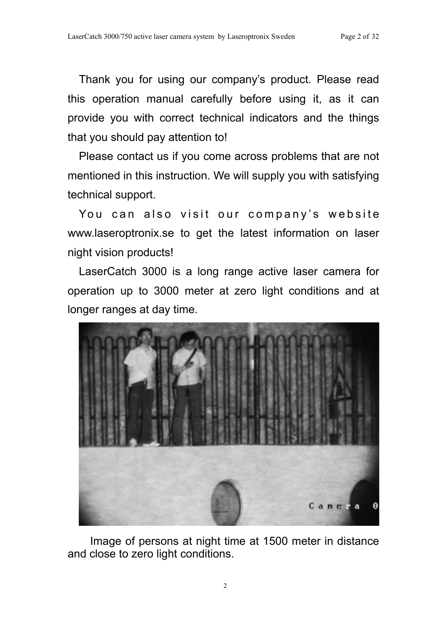Thank you for using our company's product. Please read this operation manual carefully before using it, as it can provide you with correct technical indicators and the things that you should pay attention to!

Please contact us if you come across problems that are not mentioned in this instruction. We will supply you with satisfying technical support.

You can also visit our company's website www.laseroptronix.se to get the latest information on laser night vision products!

LaserCatch 3000 is a long range active laser camera for operation up to 3000 meter at zero light conditions and at longer ranges at day time.



Image of persons at night time at 1500 meter in distance and close to zero light conditions.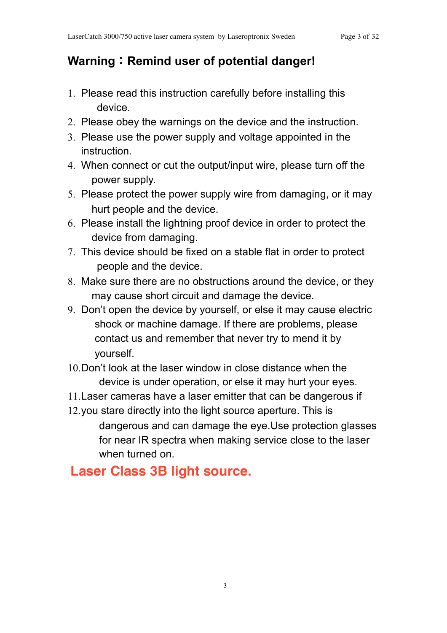# **Warning**:**Remind user of potential danger!**

- 1. Please read this instruction carefully before installing this device.
- 2. Please obey the warnings on the device and the instruction.
- 3. Please use the power supply and voltage appointed in the instruction.
- 4. When connect or cut the output/input wire, please turn off the power supply.
- 5. Please protect the power supply wire from damaging, or it may hurt people and the device.
- 6. Please install the lightning proof device in order to protect the device from damaging.
- 7. This device should be fixed on a stable flat in order to protect people and the device.
- 8. Make sure there are no obstructions around the device, or they may cause short circuit and damage the device.
- 9. Don't open the device by yourself, or else it may cause electric shock or machine damage. If there are problems, please contact us and remember that never try to mend it by yourself.
- 10.Don't look at the laser window in close distance when the device is under operation, or else it may hurt your eyes.
- 11.Laser cameras have a laser emitter that can be dangerous if
- 12.you stare directly into the light source aperture. This is dangerous and can damage the eye.Use protection glasses for near IR spectra when making service close to the laser when turned on.

# **Laser Class 3B light source.**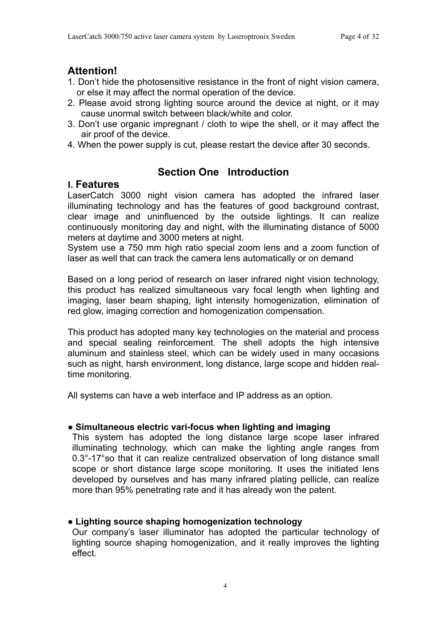# **Attention!**

- 1. Don't hide the photosensitive resistance in the front of night vision camera, or else it may affect the normal operation of the device.
- 2. Please avoid strong lighting source around the device at night, or it may cause unormal switch between black/white and color.
- 3. Don't use organic impregnant / cloth to wipe the shell, or it may affect the air proof of the device.
- 4. When the power supply is cut, please restart the device after 30 seconds.

# **Section One Introduction**

# **Ⅰ. Features**

LaserCatch 3000 night vision camera has adopted the infrared laser illuminating technology and has the features of good background contrast, clear image and uninfluenced by the outside lightings. It can realize continuously monitoring day and night, with the illuminating distance of 5000 meters at daytime and 3000 meters at night.

System use a 750 mm high ratio special zoom lens and a zoom function of laser as well that can track the camera lens automatically or on demand

Based on a long period of research on laser infrared night vision technology, this product has realized simultaneous vary focal length when lighting and imaging, laser beam shaping, light intensity homogenization, elimination of red glow, imaging correction and homogenization compensation.

This product has adopted many key technologies on the material and process and special sealing reinforcement. The shell adopts the high intensive aluminum and stainless steel, which can be widely used in many occasions such as night, harsh environment, long distance, large scope and hidden realtime monitoring.

All systems can have a web interface and IP address as an option.

# **● Simultaneous electric vari-focus when lighting and imaging**

This system has adopted the long distance large scope laser infrared illuminating technology, which can make the lighting angle ranges from 0.3°-17°so that it can realize centralized observation of long distance small scope or short distance large scope monitoring. It uses the initiated lens developed by ourselves and has many infrared plating pellicle, can realize more than 95% penetrating rate and it has already won the patent.

# **● Lighting source shaping homogenization technology**

Our company's laser illuminator has adopted the particular technology of lighting source shaping homogenization, and it really improves the lighting effect.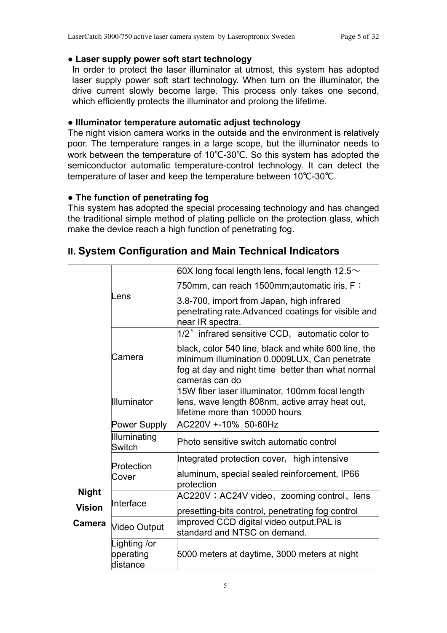## **● Laser supply power soft start technology**

In order to protect the laser illuminator at utmost, this system has adopted laser supply power soft start technology. When turn on the illuminator, the drive current slowly become large. This process only takes one second, which efficiently protects the illuminator and prolong the lifetime.

# **● Illuminator temperature automatic adjust technology**

The night vision camera works in the outside and the environment is relatively poor. The temperature ranges in a large scope, but the illuminator needs to work between the temperature of 10℃-30℃. So this system has adopted the semiconductor automatic temperature-control technology. It can detect the temperature of laser and keep the temperature between 10℃-30℃.

# **● The function of penetrating fog**

This system has adopted the special processing technology and has changed the traditional simple method of plating pellicle on the protection glass, which make the device reach a high function of penetrating fog.

|               |                                       | $ 60X$ long focal length lens, focal length 12.5 $\sim$                                                                                                                      |  |  |  |
|---------------|---------------------------------------|------------------------------------------------------------------------------------------------------------------------------------------------------------------------------|--|--|--|
|               |                                       | 750mm, can reach 1500mm;automatic iris, F:                                                                                                                                   |  |  |  |
|               | Lens                                  | 3.8-700, import from Japan, high infrared<br>penetrating rate. Advanced coatings for visible and<br>near IR spectra.                                                         |  |  |  |
|               |                                       | 1/2" infrared sensitive CCD, automatic color to                                                                                                                              |  |  |  |
|               | Camera                                | black, color 540 line, black and white 600 line, the<br>minimum illumination 0.0009LUX, Can penetrate<br>fog at day and night time better than what normal<br>cameras can do |  |  |  |
|               | <b>Illuminator</b>                    | 15W fiber laser illuminator, 100mm focal length<br>lens, wave length 808nm, active array heat out,<br>lifetime more than 10000 hours                                         |  |  |  |
|               | Power Supply                          | AC220V +-10% 50-60Hz                                                                                                                                                         |  |  |  |
|               | Illuminating<br><b>Switch</b>         | Photo sensitive switch automatic control                                                                                                                                     |  |  |  |
|               |                                       | Integrated protection cover, high intensive                                                                                                                                  |  |  |  |
|               | Protection<br>Cover                   | aluminum, special sealed reinforcement, IP66<br>protection                                                                                                                   |  |  |  |
| <b>Night</b>  | Interface                             | AC220V; AC24V video, zooming control, lens                                                                                                                                   |  |  |  |
| <b>Vision</b> |                                       | presetting-bits control, penetrating fog control                                                                                                                             |  |  |  |
| Camera        | Video Output                          | improved CCD digital video output.PAL is<br>standard and NTSC on demand.                                                                                                     |  |  |  |
|               | Lighting /or<br>operating<br>distance | 5000 meters at daytime, 3000 meters at night                                                                                                                                 |  |  |  |

# **Ⅱ. System Configuration and Main Technical Indicators**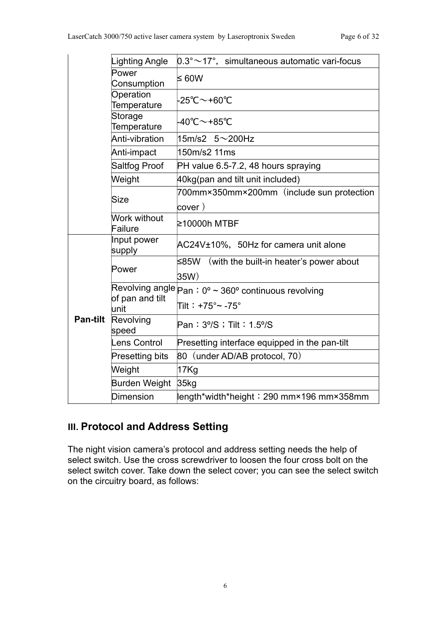|                 | Lighting Angle                 | $0.3^{\circ}$ ~17°, simultaneous automatic vari-focus            |
|-----------------|--------------------------------|------------------------------------------------------------------|
|                 | Power<br>Consumption           | ≤ 60W                                                            |
|                 | Operation<br>Temperature       | $-25^{\circ}$ C $\sim$ +60 $^{\circ}$ C                          |
|                 | Storage<br>Temperature         | $-40^{\circ}$ C $\sim$ +85 $^{\circ}$ C                          |
|                 | Anti-vibration                 | 15m/s2 $5 \sim$ 200Hz                                            |
|                 | Anti-impact                    | 150m/s2 11ms                                                     |
|                 | Saltfog Proof                  | PH value 6.5-7.2, 48 hours spraying                              |
|                 | Weight                         | 40kg(pan and tilt unit included)                                 |
|                 | <b>Size</b>                    | 700mm×350mm×200mm (include sun protection<br>cover)              |
|                 | <b>Work without</b><br>Failure | ≥10000h MTBF                                                     |
|                 | Input power<br>supply          | AC24V±10%, 50Hz for camera unit alone                            |
|                 | Power                          | ≤85W<br>(with the built-in heater's power about<br>35W)          |
|                 |                                | Revolving angle $ _{{\sf Pan}}$ : 0º ~ 360º continuous revolving |
| <b>Pan-tilt</b> | of pan and tilt<br>unit        | Tilt: $+75^{\circ}$ ~ -75°                                       |
|                 | Revolving<br>speed             | Pan: 3% ; Tilt: 1.5%                                             |
|                 | Lens Control                   | Presetting interface equipped in the pan-tilt                    |
|                 | <b>Presetting bits</b>         | 80 (under AD/AB protocol, 70)                                    |
|                 | Weight                         | 17Kg                                                             |
|                 | Burden Weight                  | 35kg                                                             |
|                 | Dimension                      | length*width*height: 290 mm×196 mm×358mm                         |

# **Ⅲ. Protocol and Address Setting**

The night vision camera's protocol and address setting needs the help of select switch. Use the cross screwdriver to loosen the four cross bolt on the select switch cover. Take down the select cover; you can see the select switch on the circuitry board, as follows: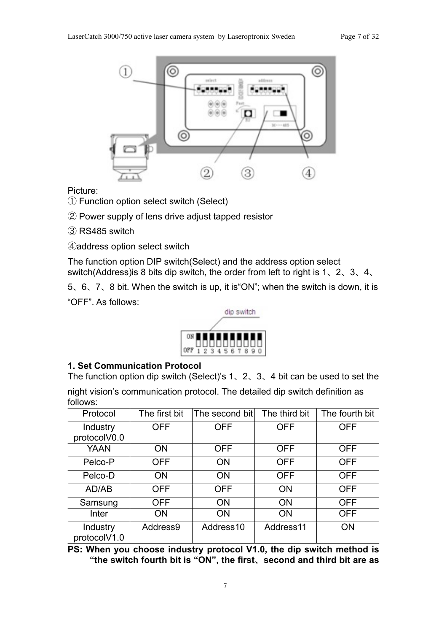

Picture:

① Function option select switch (Select)

② Power supply of lens drive adjust tapped resistor

③ RS485 switch

④address option select switch

The function option DIP switch(Select) and the address option select switch(Address)is 8 bits dip switch, the order from left to right is 1、2、3、4、

5、6、7、8 bit. When the switch is up, it is"ON"; when the switch is down, it is "OFF". As follows:



# **1. Set Communication Protocol**

The function option dip switch (Select)'s 1、2、3、4 bit can be used to set the night vision's communication protocol. The detailed dip switch definition as follows:

| Protocol                 | The first bit | The second bit | The third bit | The fourth bit |
|--------------------------|---------------|----------------|---------------|----------------|
| Industry                 | <b>OFF</b>    | <b>OFF</b>     | <b>OFF</b>    | <b>OFF</b>     |
| protocolV0.0             |               |                |               |                |
| <b>YAAN</b>              | <b>ON</b>     | <b>OFF</b>     | <b>OFF</b>    | <b>OFF</b>     |
| Pelco-P                  | <b>OFF</b>    | ON             | <b>OFF</b>    | <b>OFF</b>     |
| Pelco-D                  | <b>ON</b>     | ON             | <b>OFF</b>    | <b>OFF</b>     |
| AD/AB                    | <b>OFF</b>    | <b>OFF</b>     | <b>ON</b>     | <b>OFF</b>     |
| Samsung                  | <b>OFF</b>    | <b>ON</b>      | <b>ON</b>     | <b>OFF</b>     |
| Inter                    | <b>ON</b>     | <b>ON</b>      | <b>ON</b>     | <b>OFF</b>     |
| Industry<br>protocolV1.0 | Address9      | Address10      | Address11     | ON             |

**PS: When you choose industry protocol V1.0, the dip switch method is "the switch fourth bit is "ON", the first**、**second and third bit are as**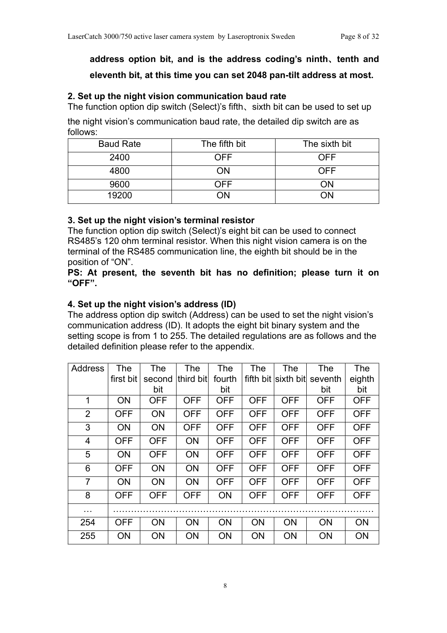# **address option bit, and is the address coding's ninth**、**tenth and eleventh bit, at this time you can set 2048 pan-tilt address at most.**

#### **2. Set up the night vision communication baud rate**

The function option dip switch (Select)'s fifth、sixth bit can be used to set up the night vision's communication baud rate, the detailed dip switch are as follows:

| <b>Baud Rate</b> | The fifth bit | The sixth bit |
|------------------|---------------|---------------|
| 2400             | OFF           | <b>OFF</b>    |
| 4800             | ΩN            | OFF           |
| 9600             | 7FF           | DМ            |
| 19200            |               | ٦N            |

#### **3. Set up the night vision's terminal resistor**

The function option dip switch (Select)'s eight bit can be used to connect RS485's 120 ohm terminal resistor. When this night vision camera is on the terminal of the RS485 communication line, the eighth bit should be in the position of "ON".

**PS: At present, the seventh bit has no definition; please turn it on "OFF".**

# **4. Set up the night vision's address (ID)**

The address option dip switch (Address) can be used to set the night vision's communication address (ID). It adopts the eight bit binary system and the setting scope is from 1 to 255. The detailed regulations are as follows and the detailed definition please refer to the appendix.

| Address        | The        | The        | <b>The</b> | The        | The        | The                 | The        | The        |
|----------------|------------|------------|------------|------------|------------|---------------------|------------|------------|
|                | first bit  | second     | third bit  | fourth     |            | fifth bit sixth bit | seventh    | eighth     |
|                |            | bit        |            | bit        |            |                     | bit        | bit        |
| 1              | <b>ON</b>  | <b>OFF</b> | <b>OFF</b> | OFF        | <b>OFF</b> | <b>OFF</b>          | <b>OFF</b> | <b>OFF</b> |
| $\overline{2}$ | <b>OFF</b> | <b>ON</b>  | <b>OFF</b> | <b>OFF</b> | OFF        | <b>OFF</b>          | <b>OFF</b> | <b>OFF</b> |
| 3              | <b>ON</b>  | <b>ON</b>  | <b>OFF</b> | <b>OFF</b> | OFF        | OFF                 | <b>OFF</b> | <b>OFF</b> |
| $\overline{4}$ | <b>OFF</b> | <b>OFF</b> | <b>ON</b>  | <b>OFF</b> | OFF        | <b>OFF</b>          | <b>OFF</b> | <b>OFF</b> |
| 5              | <b>ON</b>  | <b>OFF</b> | <b>ON</b>  | <b>OFF</b> | <b>OFF</b> | <b>OFF</b>          | <b>OFF</b> | <b>OFF</b> |
| 6              | <b>OFF</b> | <b>ON</b>  | <b>ON</b>  | <b>OFF</b> | <b>OFF</b> | <b>OFF</b>          | <b>OFF</b> | <b>OFF</b> |
| $\overline{7}$ | ON         | <b>ON</b>  | ON         | OFF        | <b>OFF</b> | <b>OFF</b>          | <b>OFF</b> | <b>OFF</b> |
| 8              | <b>OFF</b> | <b>OFF</b> | <b>OFF</b> | <b>ON</b>  | OFF        | <b>OFF</b>          | <b>OFF</b> | <b>OFF</b> |
| .              |            |            |            |            |            |                     |            |            |
| 254            | <b>OFF</b> | <b>ON</b>  | <b>ON</b>  | <b>ON</b>  | <b>ON</b>  | <b>ON</b>           | <b>ON</b>  | <b>ON</b>  |
| 255            | ΟN         | <b>ON</b>  | ON         | <b>ON</b>  | <b>ON</b>  | <b>ON</b>           | <b>ON</b>  | <b>ON</b>  |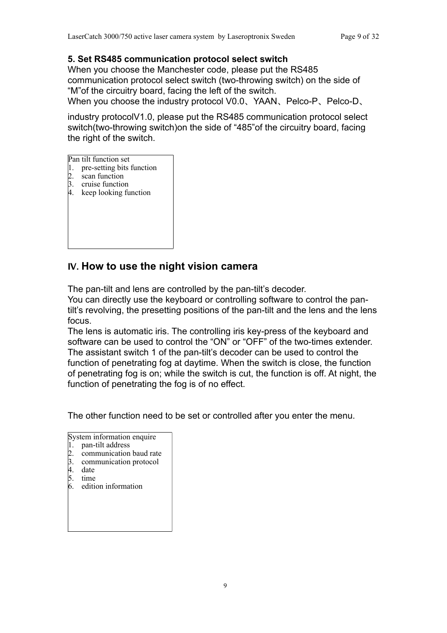# **5. Set RS485 communication protocol select switch**

When you choose the Manchester code, please put the RS485 communication protocol select switch (two-throwing switch) on the side of "M"of the circuitry board, facing the left of the switch.

When you choose the industry protocol V0.0、YAAN、Pelco-P、Pelco-D、

industry protocolV1.0, please put the RS485 communication protocol select switch(two-throwing switch)on the side of "485"of the circuitry board, facing the right of the switch.

Pan tilt function set

- 1. pre-setting bits function
- 2. scan function
- 3. cruise function
- 4. keep looking function

# **Ⅳ. How to use the night vision camera**

The pan-tilt and lens are controlled by the pan-tilt's decoder.

You can directly use the keyboard or controlling software to control the pantilt's revolving, the presetting positions of the pan-tilt and the lens and the lens focus.

The lens is automatic iris. The controlling iris key-press of the keyboard and software can be used to control the "ON" or "OFF" of the two-times extender. The assistant switch 1 of the pan-tilt's decoder can be used to control the function of penetrating fog at daytime. When the switch is close, the function of penetrating fog is on; while the switch is cut, the function is off. At night, the function of penetrating the fog is of no effect.

The other function need to be set or controlled after you enter the menu.

System information enquire

- 1. pan-tilt address
- 2. communication baud rate
- 3. communication protocol
- 4. date
- 5. time
- 6. edition information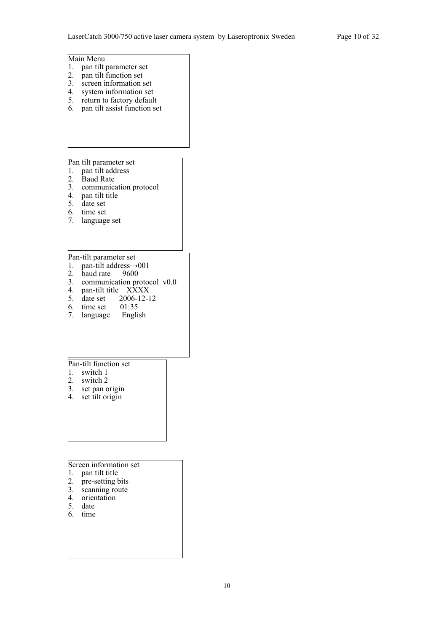# Main Menu 1. pan tilt parameter set 2. pan tilt function set 3. screen information set 4. system information set 5. return to factory default 6. pan tilt assist function set Pan tilt parameter set 1. pan tilt address 2. Baud Rate 3. communication protocol 4. pan tilt title 5. date set 6. time set 7. language set Pan-tilt parameter set 1. pan-tilt address→001 2. baud rate 9600 3. communication protocol v0.0 4. pan-tilt title XXXX 5. date set 2006-12-12 6. time set 01:35

7. language English

#### Pan-tilt function set

- 1. switch 1
- 2. switch 2
- 3. set pan origin
- 4. set tilt origin

#### Screen information set

- 1. pan tilt title
- 2. pre-setting bits
- 3. scanning route
- 4. orientation
- 5. date
- 6. time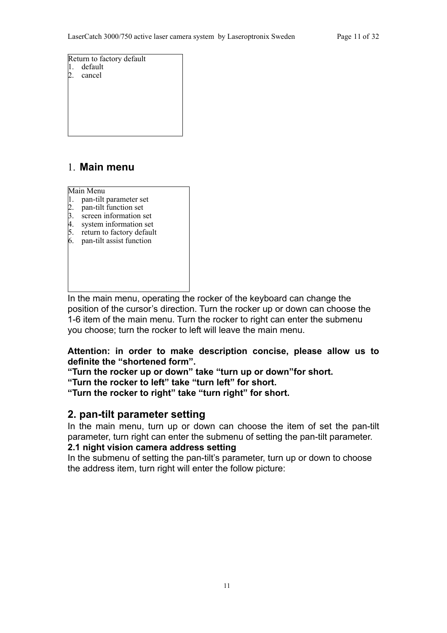Return to factory default 1. default 2. cancel

# 1. **Main menu**

Main Menu

- 1. pan-tilt parameter set
- 2. pan-tilt function set
- 3. screen information set
- 4. system information set
- 5. return to factory default
- 6. pan-tilt assist function

In the main menu, operating the rocker of the keyboard can change the position of the cursor's direction. Turn the rocker up or down can choose the 1-6 item of the main menu. Turn the rocker to right can enter the submenu you choose; turn the rocker to left will leave the main menu.

#### **Attention: in order to make description concise, please allow us to definite the "shortened form".**

**"Turn the rocker up or down" take "turn up or down"for short.**

**"Turn the rocker to left" take "turn left" for short.**

**"Turn the rocker to right" take "turn right" for short.**

# **2. pan-tilt parameter setting**

In the main menu, turn up or down can choose the item of set the pan-tilt parameter, turn right can enter the submenu of setting the pan-tilt parameter.

#### **2.1 night vision camera address setting**

In the submenu of setting the pan-tilt's parameter, turn up or down to choose the address item, turn right will enter the follow picture: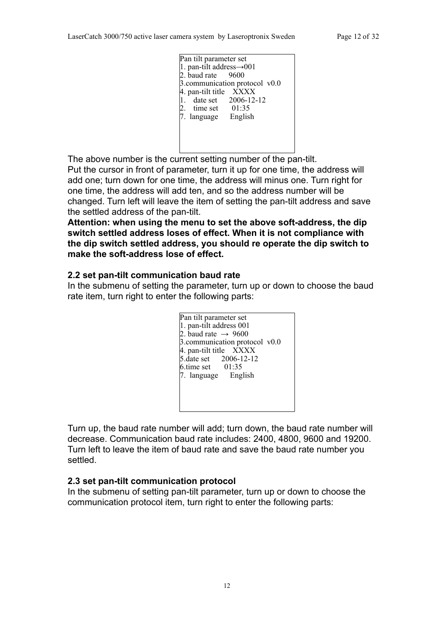| Pan tilt parameter set                |
|---------------------------------------|
| 1. pan-tilt address $\rightarrow 001$ |
| 2. baud rate $9600$                   |
| 3.communication protocol $v0.0$       |
| 4. pan-tilt title XXXX                |
| 1. date set $2006 - 12 - 12$          |
| 2. time set $01:35$                   |
| English<br>7. language                |
|                                       |
|                                       |
|                                       |
|                                       |

The above number is the current setting number of the pan-tilt.

Put the cursor in front of parameter, turn it up for one time, the address will add one; turn down for one time, the address will minus one. Turn right for one time, the address will add ten, and so the address number will be changed. Turn left will leave the item of setting the pan-tilt address and save the settled address of the pan-tilt.

**Attention: when using the menu to set the above soft-address, the dip switch settled address loses of effect. When it is not compliance with the dip switch settled address, you should re operate the dip switch to make the soft-address lose of effect.** 

#### **2.2 set pan-tilt communication baud rate**

In the submenu of setting the parameter, turn up or down to choose the baud rate item, turn right to enter the following parts:

| Pan tilt parameter set          |
|---------------------------------|
| 1. pan-tilt address 001         |
| 2. baud rate $\rightarrow$ 9600 |
| 3.communication protocol $v0.0$ |
| 4. pan-tilt title XXXX          |
| 5. date set 2006-12-12          |
| $6.$ time set $01:35$           |
| 7. language English             |
|                                 |
|                                 |
|                                 |
|                                 |

Turn up, the baud rate number will add; turn down, the baud rate number will decrease. Communication baud rate includes: 2400, 4800, 9600 and 19200. Turn left to leave the item of baud rate and save the baud rate number you settled.

#### **2.3 set pan-tilt communication protocol**

In the submenu of setting pan-tilt parameter, turn up or down to choose the communication protocol item, turn right to enter the following parts: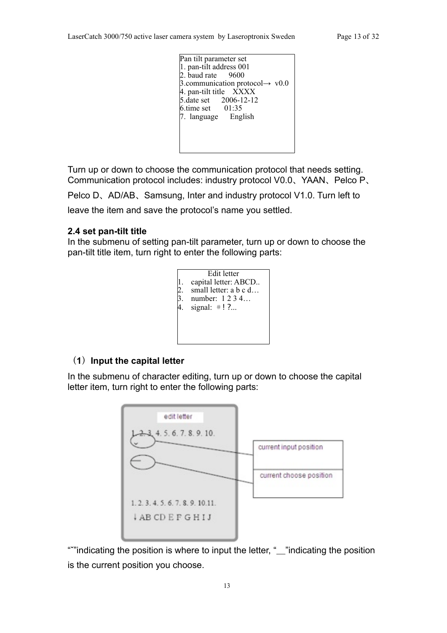| Pan tilt parameter set                      |
|---------------------------------------------|
| 1. pan-tilt address 001                     |
| 2. baud rate $9600$                         |
| 3.communication protocol $\rightarrow$ v0.0 |
| 4. pan-tilt title XXXX                      |
| 5. date set 2006-12-12                      |
| $6 \times 101:35$                           |
| 7. language English                         |
|                                             |
|                                             |
|                                             |
|                                             |

Turn up or down to choose the communication protocol that needs setting. Communication protocol includes: industry protocol V0.0、YAAN、Pelco P、

Pelco D、AD/AB、Samsung, Inter and industry protocol V1.0. Turn left to leave the item and save the protocol's name you settled.

#### **2.4 set pan-tilt title**

In the submenu of setting pan-tilt parameter, turn up or down to choose the pan-tilt title item, turn right to enter the following parts:



### (**1**)**Input the capital letter**

In the submenu of character editing, turn up or down to choose the capital letter item, turn right to enter the following parts:



"ˇ"indicating the position is where to input the letter, "\_"indicating the position is the current position you choose.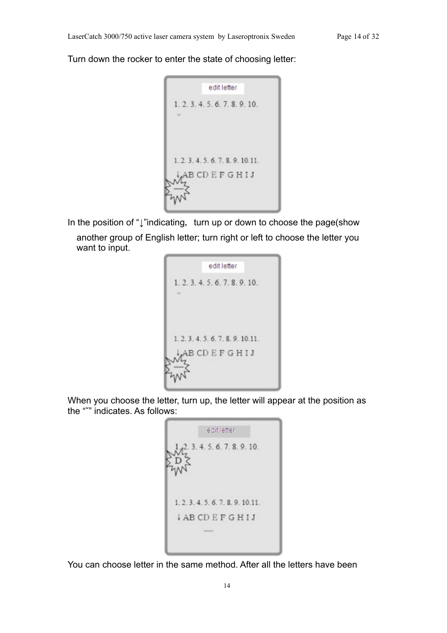Turn down the rocker to enter the state of choosing letter:

```
edit letter
1.2.3.4.5.6.7.8.9.10.
1.2.3.4.5.6.7.8.9.10.11.
  AB CD E F G H I J
```
In the position of "↓"indicating, turn up or down to choose the page(show another group of English letter; turn right or left to choose the letter you want to input.

| edit letter                        |
|------------------------------------|
| 1, 2, 3, 4, 5, 6, 7, 8, 9, 10.     |
|                                    |
|                                    |
| 1, 2, 3, 4, 5, 6, 7, 8, 9, 10, 11. |
| ABCDEFGHIJ                         |
|                                    |
|                                    |

When you choose the letter, turn up, the letter will appear at the position as the "ˇ" indicates. As follows:

edit letter 4.5.6.7.8.9.10. 1.2.3.4.5.6.7.8.9.10.11. **IABCDEFGHIJ** 

You can choose letter in the same method. After all the letters have been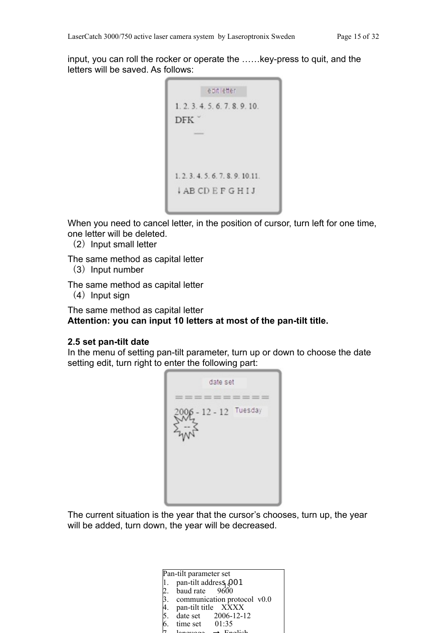input, you can roll the rocker or operate the ……key-press to quit, and the letters will be saved. As follows:

```
editletter
1.2.3.4.5.6.7.8.9.10.
DFK
1.2.3.4.5.6.7.8.9.10.11.
ABCDEFGHIJ
```
When you need to cancel letter, in the position of cursor, turn left for one time, one letter will be deleted.

(2) Input small letter

The same method as capital letter

 $(3)$  Input number

The same method as capital letter

 $(4)$  Input sign

The same method as capital letter **Attention: you can input 10 letters at most of the pan-tilt title.**

#### **2.5 set pan-tilt date**

In the menu of setting pan-tilt parameter, turn up or down to choose the date setting edit, turn right to enter the following part:

date set  $= 100$  $-12 - 12$  Tuesday 2006

The current situation is the year that the cursor's chooses, turn up, the year will be added, turn down, the year will be decreased.

> 1. pan-un address 3<br>2. baud rate 9600 Pan-tilt parameter set 1. pan-tilt address  $Q01$ 3. communication protocol v0.0 4. pan-tilt title XXXX 5. date set 2006-12-12 5. date set  $2006-12-12$ <br>6. time set  $01:35$  $7 \quad \text{lannom} \rightarrow \text{Endich}$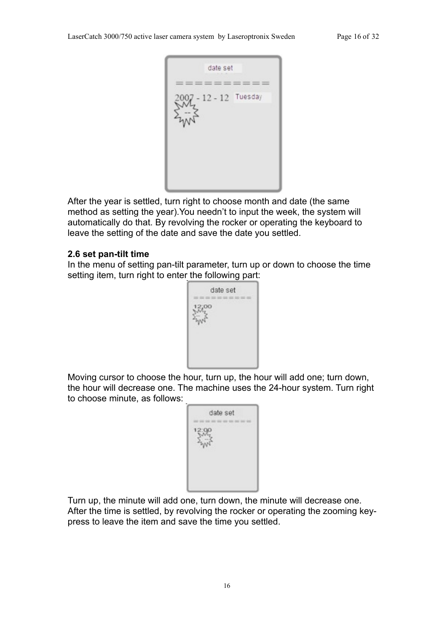

After the year is settled, turn right to choose month and date (the same method as setting the year).You needn't to input the week, the system will automatically do that. By revolving the rocker or operating the keyboard to leave the setting of the date and save the date you settled.

#### **2.6 set pan-tilt time**

In the menu of setting pan-tilt parameter, turn up or down to choose the time setting item, turn right to enter the following part:



Moving cursor to choose the hour, turn up, the hour will add one; turn down, the hour will decrease one. The machine uses the 24-hour system. Turn right to choose minute, as follows:

| date set |
|----------|
|          |
|          |
|          |
|          |

Turn up, the minute will add one, turn down, the minute will decrease one. After the time is settled, by revolving the rocker or operating the zooming keypress to leave the item and save the time you settled.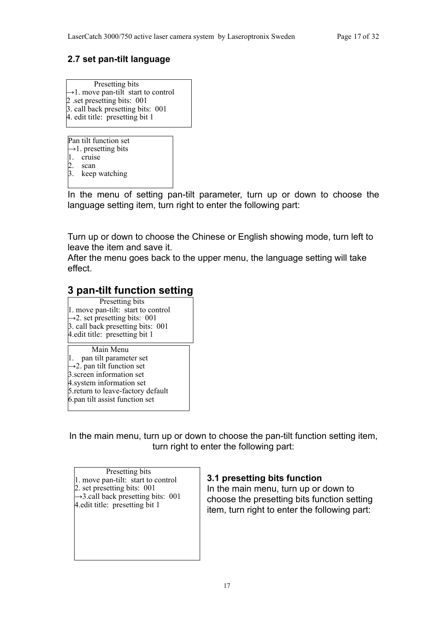# **2.7 set pan-tilt language**

| Presetting bits                                 |
|-------------------------------------------------|
| $\rightarrow$ 1. move pan-tilt start to control |
| 2 .set presetting bits: 001                     |
| 3. call back presetting bits: 001               |
| 4. edit title: presetting bit 1                 |
|                                                 |

Pan tilt function set **→**1. presetting bits 1. cruise 2. scan 3. keep watching

In the menu of setting pan-tilt parameter, turn up or down to choose the language setting item, turn right to enter the following part:

Turn up or down to choose the Chinese or English showing mode, turn left to leave the item and save it.

After the menu goes back to the upper menu, the language setting will take effect.

# **3 pan-tilt function setting**

Presetting bits 1. move pan-tilt: start to control  $\rightarrow$ 2. set presetting bits: 001 3. call back presetting bits: 001 4.edit title: presetting bit 1

Main Menu 1. pan tilt parameter set **→**2. pan tilt function set 3.screen information set 4.system information set 5.return to leave-factory default 6.pan tilt assist function set

In the main menu, turn up or down to choose the pan-tilt function setting item, turn right to enter the following part:

Presetting bits 1. move pan-tilt: start to control 2. set presetting bits: 001  $\rightarrow$ 3.call back presetting bits: 001 4.edit title: presetting bit 1

#### **3.1 presetting bits function**

In the main menu, turn up or down to choose the presetting bits function setting item, turn right to enter the following part: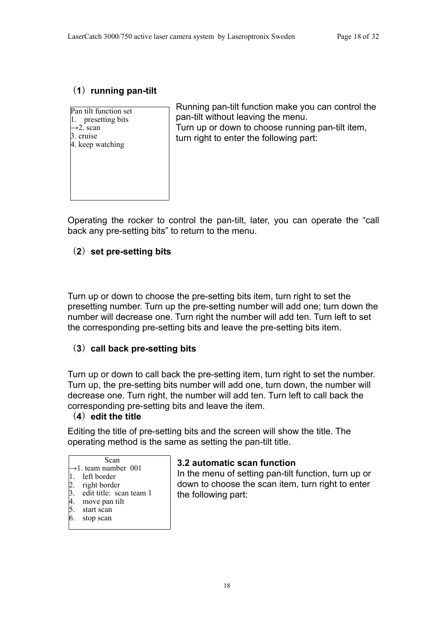# (**1**)**running pan-tilt**

| Pan tilt function set |
|-----------------------|
| presetting bits       |
| $\rightarrow$ 2. scan |
| . cruise              |
| 4. keep watching      |
|                       |
|                       |
|                       |
|                       |
|                       |
|                       |

Running pan-tilt function make you can control the pan-tilt without leaving the menu. Turn up or down to choose running pan-tilt item, turn right to enter the following part:

Operating the rocker to control the pan-tilt, later, you can operate the "call back any pre-setting bits" to return to the menu.

# (**2**)**set pre-setting bits**

Turn up or down to choose the pre-setting bits item, turn right to set the presetting number. Turn up the pre-setting number will add one; turn down the number will decrease one. Turn right the number will add ten. Turn left to set the corresponding pre-setting bits and leave the pre-setting bits item.

#### (**3**)**call back pre-setting bits**

Turn up or down to call back the pre-setting item, turn right to set the number. Turn up, the pre-setting bits number will add one, turn down, the number will decrease one. Turn right, the number will add ten. Turn left to call back the corresponding pre-setting bits and leave the item.

#### (**4**)**edit the title**

Editing the title of pre-setting bits and the screen will show the title. The operating method is the same as setting the pan-tilt title.

| Scan                             |  |
|----------------------------------|--|
| $\rightarrow$ 1. team number 001 |  |

- 1. left border
- 2. right border
- edit title: scan team 1
- 4. move pan tilt
- 5. start scan
- 6. stop scan

#### **3.2 automatic scan function**

In the menu of setting pan-tilt function, turn up or down to choose the scan item, turn right to enter the following part: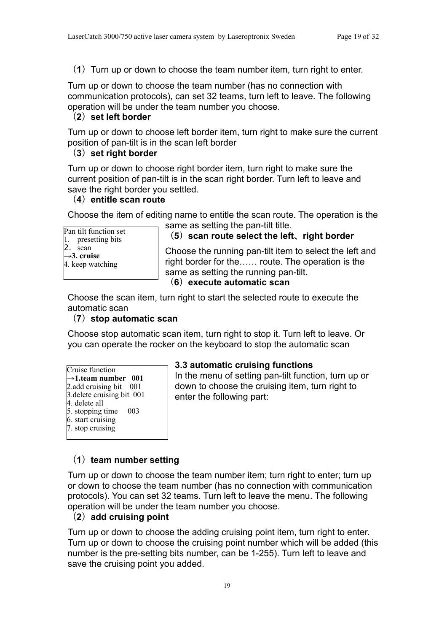(**1**)Turn up or down to choose the team number item, turn right to enter.

Turn up or down to choose the team number (has no connection with communication protocols), can set 32 teams, turn left to leave. The following operation will be under the team number you choose.

#### (**2**)**set left border**

Turn up or down to choose left border item, turn right to make sure the current position of pan-tilt is in the scan left border

#### (**3**)**set right border**

Turn up or down to choose right border item, turn right to make sure the current position of pan-tilt is in the scan right border. Turn left to leave and save the right border you settled.

#### (**4**)**entitle scan route**

Choose the item of editing name to entitle the scan route. The operation is the

Pan tilt function set 1. presetting bits  $\lambda$ . scan **→3. cruise** 4. keep watching

#### same as setting the pan-tilt title. (**5**)**scan route select the left**、**right border**

Choose the running pan-tilt item to select the left and right border for the…… route. The operation is the same as setting the running pan-tilt.

#### (**6**)**execute automatic scan**

Choose the scan item, turn right to start the selected route to execute the automatic scan

#### (**7**)**stop automatic scan**

Choose stop automatic scan item, turn right to stop it. Turn left to leave. Or you can operate the rocker on the keyboard to stop the automatic scan

| Cruise function                 |  |
|---------------------------------|--|
| $\rightarrow$ 1.team number 001 |  |
| 2.add cruising bit 001          |  |
| 3. delete cruising bit 001      |  |
| $4.$ delete all                 |  |

- 5. stopping time 003
- 6. start cruising
- 7. stop cruising

#### **3.3 automatic cruising functions**

In the menu of setting pan-tilt function, turn up or down to choose the cruising item, turn right to enter the following part:

#### (**1**)**team number setting**

Turn up or down to choose the team number item; turn right to enter; turn up or down to choose the team number (has no connection with communication protocols). You can set 32 teams. Turn left to leave the menu. The following operation will be under the team number you choose.

#### (**2**)**add cruising point**

Turn up or down to choose the adding cruising point item, turn right to enter. Turn up or down to choose the cruising point number which will be added (this number is the pre-setting bits number, can be 1-255). Turn left to leave and save the cruising point you added.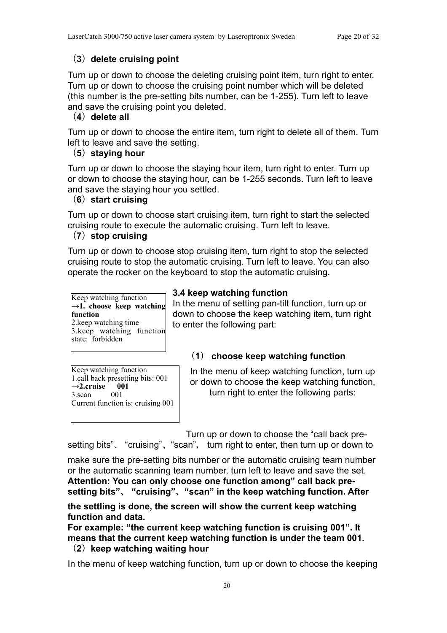# (**3**)**delete cruising point**

Turn up or down to choose the deleting cruising point item, turn right to enter. Turn up or down to choose the cruising point number which will be deleted (this number is the pre-setting bits number, can be 1-255). Turn left to leave and save the cruising point you deleted.

# (**4**)**delete all**

Turn up or down to choose the entire item, turn right to delete all of them. Turn left to leave and save the setting.

# (**5**)**staying hour**

Turn up or down to choose the staying hour item, turn right to enter. Turn up or down to choose the staying hour, can be 1-255 seconds. Turn left to leave and save the staying hour you settled.

# (**6**)**start cruising**

Turn up or down to choose start cruising item, turn right to start the selected cruising route to execute the automatic cruising. Turn left to leave.

#### (**7**)**stop cruising**

Turn up or down to choose stop cruising item, turn right to stop the selected cruising route to stop the automatic cruising. Turn left to leave. You can also operate the rocker on the keyboard to stop the automatic cruising.

Keep watching function →1. choose keep watching **function** 2.keep watching time 3.keep watching function state: forbidden

# **3.4 keep watching function**

In the menu of setting pan-tilt function, turn up or down to choose the keep watching item, turn right to enter the following part:

# (**1**) **choose keep watching function**

Keep watching function 1.call back presetting bits: 001  $\rightarrow$  2.cruise  $\,$  001 3.scan 001 Current function is: cruising 001

In the menu of keep watching function, turn up or down to choose the keep watching function, turn right to enter the following parts:

Turn up or down to choose the "call back pre-

setting bits"、 "cruising"、"scan", turn right to enter, then turn up or down to

make sure the pre-setting bits number or the automatic cruising team number or the automatic scanning team number, turn left to leave and save the set. **Attention: You can only choose one function among" call back presetting bits"**、 **"cruising"**、**"scan" in the keep watching function. After** 

**the settling is done, the screen will show the current keep watching function and data.** 

**For example: "the current keep watching function is cruising 001". It means that the current keep watching function is under the team 001.** (**2**)**keep watching waiting hour**

In the menu of keep watching function, turn up or down to choose the keeping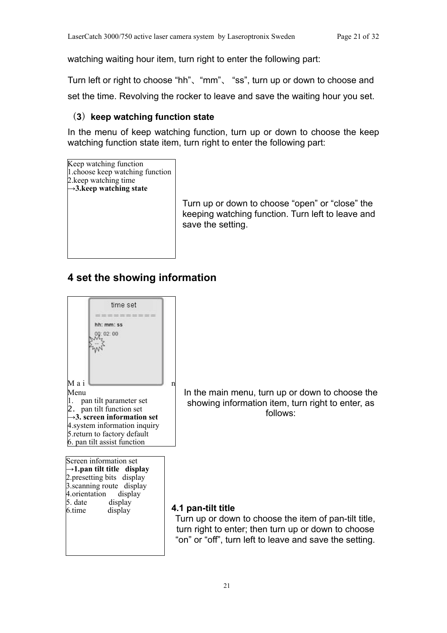watching waiting hour item, turn right to enter the following part:

Turn left or right to choose "hh"、"mm"、 "ss", turn up or down to choose and

set the time. Revolving the rocker to leave and save the waiting hour you set.

# (**3**)**keep watching function state**

In the menu of keep watching function, turn up or down to choose the keep watching function state item, turn right to enter the following part:

Keep watching function 1.choose keep watching function 2.keep watching time **→3.keep watching state**

Turn up or down to choose "open" or "close" the keeping watching function. Turn left to leave and save the setting.

# **4 set the showing information**



6.time display

In the main menu, turn up or down to choose the showing information item, turn right to enter, as follows:

## **4.1 pan-tilt title**

Turn up or down to choose the item of pan-tilt title, turn right to enter; then turn up or down to choose "on" or "off", turn left to leave and save the setting.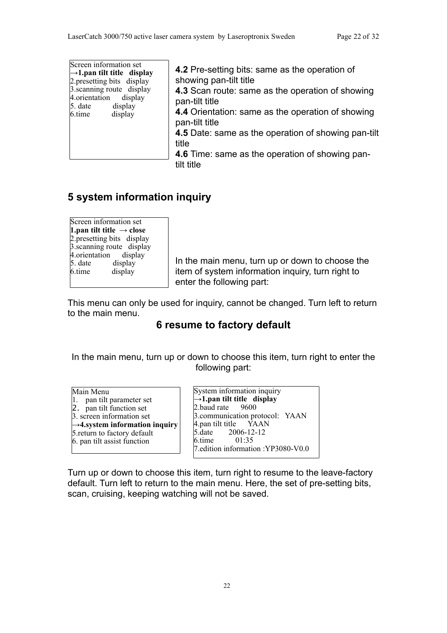| Screen information set                  |  |  |  |  |
|-----------------------------------------|--|--|--|--|
| $\rightarrow$ 1. pan tilt title display |  |  |  |  |
| 2. presetting bits display              |  |  |  |  |
| 3. scanning route display               |  |  |  |  |
| 4. orientation display                  |  |  |  |  |
| 5. date<br>display                      |  |  |  |  |
| display<br>6.time                       |  |  |  |  |
|                                         |  |  |  |  |

**4.2** Pre-setting bits: same as the operation of showing pan-tilt title **4.3** Scan route: same as the operation of showing pan-tilt title **4.4** Orientation: same as the operation of showing pan-tilt title **4.5** Date: same as the operation of showing pan-tilt title

**4.6** Time: same as the operation of showing pantilt title

# **5 system information inquiry**

| Screen information set                |  |  |  |  |  |
|---------------------------------------|--|--|--|--|--|
| 1. pan tilt title $\rightarrow$ close |  |  |  |  |  |
| 2. presetting bits display            |  |  |  |  |  |
| 3. scanning route display             |  |  |  |  |  |
| 4.orientation<br>display              |  |  |  |  |  |
| display<br>$5.$ date                  |  |  |  |  |  |
| 6.time<br>display                     |  |  |  |  |  |
|                                       |  |  |  |  |  |

In the main menu, turn up or down to choose the item of system information inquiry, turn right to enter the following part:

This menu can only be used for inquiry, cannot be changed. Turn left to return to the main menu.

# **6 resume to factory default**

In the main menu, turn up or down to choose this item, turn right to enter the following part:

| Main Menu                                   |  |  |  |  |
|---------------------------------------------|--|--|--|--|
| 1. pan tilt parameter set                   |  |  |  |  |
| 2. pan tilt function set                    |  |  |  |  |
| 3. screen information set                   |  |  |  |  |
| $\rightarrow$ 4. system information inquiry |  |  |  |  |
| 5. return to factory default                |  |  |  |  |
| 6. pan tilt assist function                 |  |  |  |  |
|                                             |  |  |  |  |

System information inquiry **→1.pan tilt title display**  $2$  baud rate 3.communication protocol: YAAN  $4.$ pan tilt title YAAN<br>5.date 2006-12-12  $2006-12-12$ <br>01:35  $6.$ time 7.edition information :YP3080-V0.0

Turn up or down to choose this item, turn right to resume to the leave-factory default. Turn left to return to the main menu. Here, the set of pre-setting bits, scan, cruising, keeping watching will not be saved.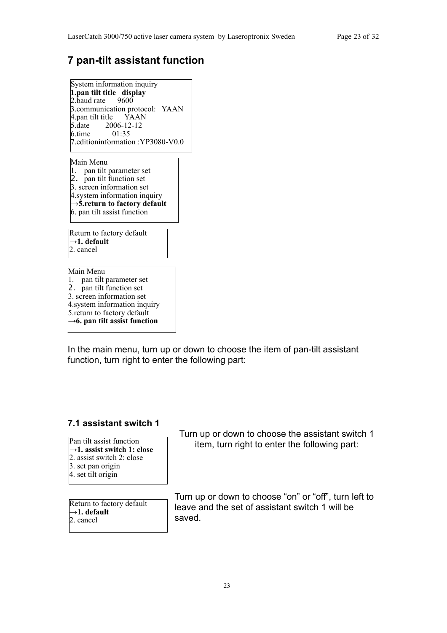# **7 pan-tilt assistant function**

System information inquiry **1.pan tilt title display** 2.baud rate 9600 3.communication protocol: YAAN  $4.$ pan tilt title  $\overrightarrow{Y}$ AAN<br>5.date 2006-12-12  $2006-12-12$ <br>01:35  $6.$ time 7.editioninformation :YP3080-V0.0

Main Menu 1. pan tilt parameter set 2. pan tilt function set 3. screen information set 4.system information inquiry **→5.return to factory default** 6. pan tilt assist function

Return to factory default **→1. default** 2. cancel

Main Menu 1. pan tilt parameter set 2. pan tilt function set 3. screen information set 4.system information inquiry 5.return to factory default **→6. pan tilt assist function**

In the main menu, turn up or down to choose the item of pan-tilt assistant function, turn right to enter the following part:

#### **7.1 assistant switch 1**

Pan tilt assist function **→1. assist switch 1: close** 2. assist switch 2: close 3. set pan origin 4. set tilt origin

Return to factory default **→1. default** 2. cancel

Turn up or down to choose the assistant switch 1 item, turn right to enter the following part:

Turn up or down to choose "on" or "off", turn left to leave and the set of assistant switch 1 will be saved.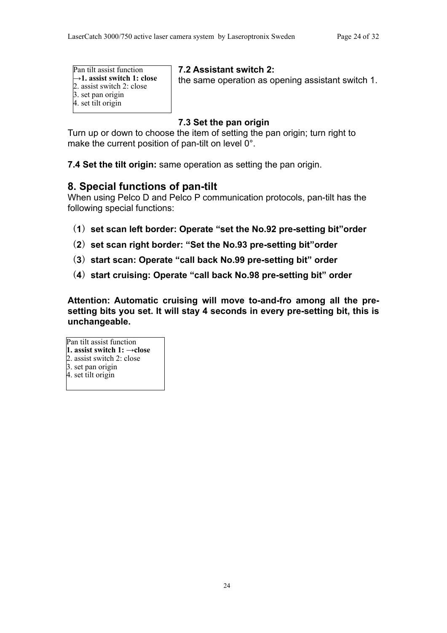| Pan tilt assist function                |  |  |  |  |
|-----------------------------------------|--|--|--|--|
| $\rightarrow$ 1. assist switch 1: close |  |  |  |  |
| 2. assist switch 2: close               |  |  |  |  |
| 3. set pan origin                       |  |  |  |  |
| 4. set tilt origin                      |  |  |  |  |

**7.2 Assistant switch 2:**

the same operation as opening assistant switch 1.

# **7.3 Set the pan origin**

Turn up or down to choose the item of setting the pan origin; turn right to make the current position of pan-tilt on level 0°.

**7.4 Set the tilt origin:** same operation as setting the pan origin.

# **8. Special functions of pan-tilt**

When using Pelco D and Pelco P communication protocols, pan-tilt has the following special functions:

- (**1**)**set scan left border: Operate "set the No.92 pre-setting bit"order**
- (**2**)**set scan right border: "Set the No.93 pre-setting bit"order**
- (**3**)**start scan: Operate "call back No.99 pre-setting bit" order**
- (**4**)**start cruising: Operate "call back No.98 pre-setting bit" order**

**Attention: Automatic cruising will move to-and-fro among all the presetting bits you set. It will stay 4 seconds in every pre-setting bit, this is unchangeable.**

#### Pan tilt assist function **1. assist switch 1: →close**

#### 2. assist switch 2: close

- 3. set pan origin
- 4. set tilt origin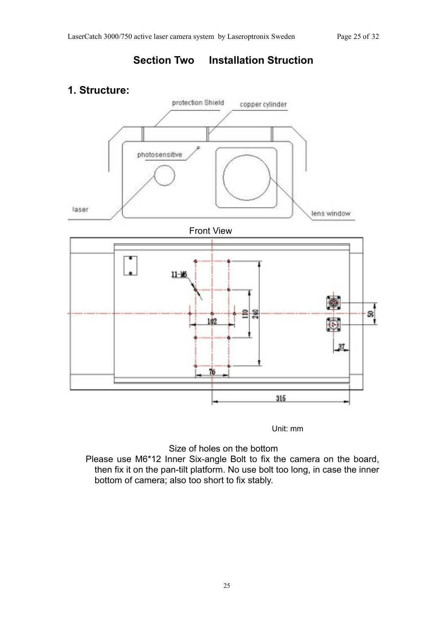# **Section Two Installation Struction**

# **1. Structure:**



Unit: mm

Size of holes on the bottom

Please use M6\*12 Inner Six-angle Bolt to fix the camera on the board, then fix it on the pan-tilt platform. No use bolt too long, in case the inner bottom of camera; also too short to fix stably.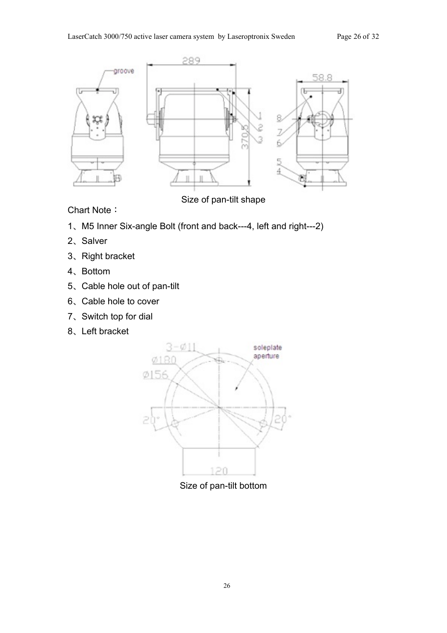

Size of pan-tilt shape

Chart Note:

- 、M5 Inner Six-angle Bolt (front and back---4, left and right---2)
- 、Salver
- 、Right bracket
- 、Bottom
- 、Cable hole out of pan-tilt
- 、Cable hole to cover
- 、Switch top for dial
- 、Left bracket



Size of pan-tilt bottom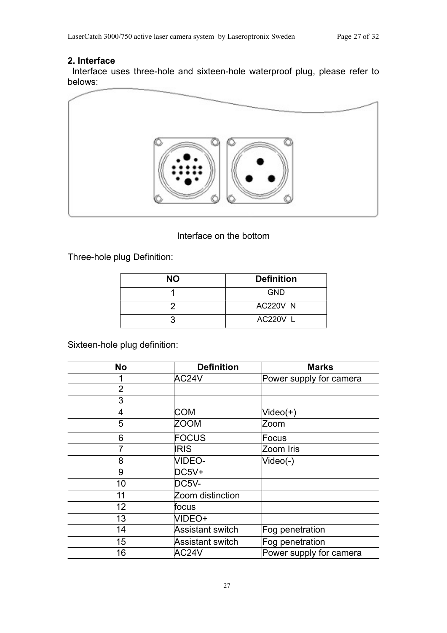#### **2. Interface**

Interface uses three-hole and sixteen-hole waterproof plug, please refer to belows:



#### Interface on the bottom

Three-hole plug Definition:

| <b>NO</b> | <b>Definition</b> |
|-----------|-------------------|
|           | <b>GND</b>        |
|           | <b>AC220V N</b>   |
|           | AC220V L          |

Sixteen-hole plug definition:

| <b>No</b>      | <b>Definition</b>       | <b>Marks</b>            |  |
|----------------|-------------------------|-------------------------|--|
|                | AC24V                   | Power supply for camera |  |
| $\overline{2}$ |                         |                         |  |
| 3              |                         |                         |  |
| $\overline{4}$ | <b>COM</b>              | Video(+)                |  |
| 5              | <b>ZOOM</b>             | Zoom                    |  |
| 6              | FOCUS                   | Focus                   |  |
| 7              | <b>IRIS</b>             | Zoom Iris               |  |
| 8              | <b>VIDEO-</b>           | Video(-)                |  |
| 9              | $DC5V+$                 |                         |  |
| 10             | DC5V-                   |                         |  |
| 11             | Zoom distinction        |                         |  |
| 12             | focus                   |                         |  |
| 13             | VIDEO+                  |                         |  |
| 14             | <b>Assistant switch</b> | Fog penetration         |  |
| 15             | <b>Assistant switch</b> | Fog penetration         |  |
| 16             | AC24V                   | Power supply for camera |  |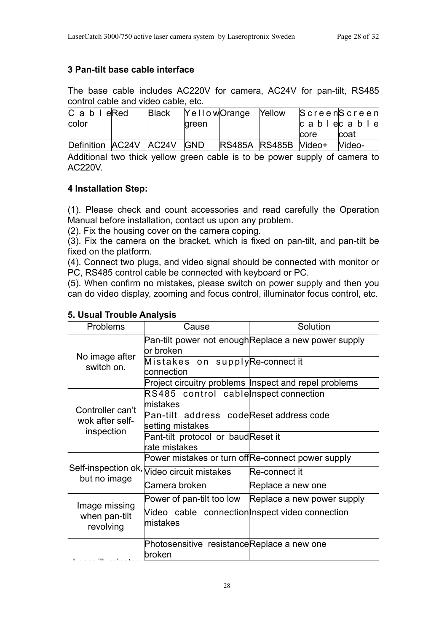### **3 Pan-tilt base cable interface**

The base cable includes AC220V for camera, AC24V for pan-tilt, RS485 control cable and video cable, etc.

| $C$ a b $I$ e Red          | <b>Black</b> |              | YellowOrange Yellow  |      | $S$ creen $S$ creen            |
|----------------------------|--------------|--------------|----------------------|------|--------------------------------|
| color                      |              | <b>green</b> |                      |      | $ c \tabla \cdot c  \cdot  c $ |
|                            |              |              |                      | core | coat                           |
| Definition AC24V AC24V GND |              |              | RS485A RS485B Video+ |      | Video-                         |

Additional two thick yellow green cable is to be power supply of camera to AC220V.

#### **4 Installation Step:**

(1). Please check and count accessories and read carefully the Operation Manual before installation, contact us upon any problem.

(2). Fix the housing cover on the camera coping.

(3). Fix the camera on the bracket, which is fixed on pan-tilt, and pan-tilt be fixed on the platform.

(4). Connect two plugs, and video signal should be connected with monitor or PC, RS485 control cable be connected with keyboard or PC.

(5). When confirm no mistakes, please switch on power supply and then you can do video display, zooming and focus control, illuminator focus control, etc.

| <b>Problems</b>                     | Cause                                                          | Solution                                              |  |
|-------------------------------------|----------------------------------------------------------------|-------------------------------------------------------|--|
|                                     | or broken                                                      | Pan-tilt power not enough Replace a new power supply  |  |
| No image after<br>switch on.        | Mistakes on supplyRe-connectit<br>connection                   |                                                       |  |
|                                     |                                                                | Project circuitry problems Inspect and repel problems |  |
|                                     | RS485 control cable nspect connection<br>mistakes              |                                                       |  |
| Controller can't<br>wok after self- | Pan-tilt address codeReset address code<br>setting mistakes    |                                                       |  |
| inspection                          | Pant-tilt protocol or baudReset it<br>rate mistakes            |                                                       |  |
|                                     | Power mistakes or turn offRe-connect power supply              |                                                       |  |
| but no image                        | Self-inspection ok, $\overline{\text{Video circuit}}$ mistakes | Re-connect it                                         |  |
|                                     | Camera broken                                                  | Replace a new one                                     |  |
| Image missing                       | Power of pan-tilt too low                                      | Replace a new power supply                            |  |
| when pan-tilt<br>revolving          | Video cable connection nspect video connection<br>mistakes     |                                                       |  |
|                                     | Photosensitive resistanceReplace a new one<br>broken           |                                                       |  |

# **5. Usual Trouble Analysis**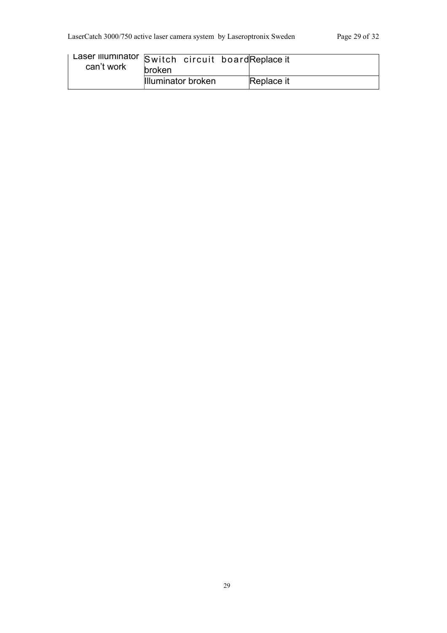| Laser Illuminator Switch circuit board Replace it<br>can't work | <b>broken</b>      |  |  |            |
|-----------------------------------------------------------------|--------------------|--|--|------------|
|                                                                 | Illuminator broken |  |  | Replace it |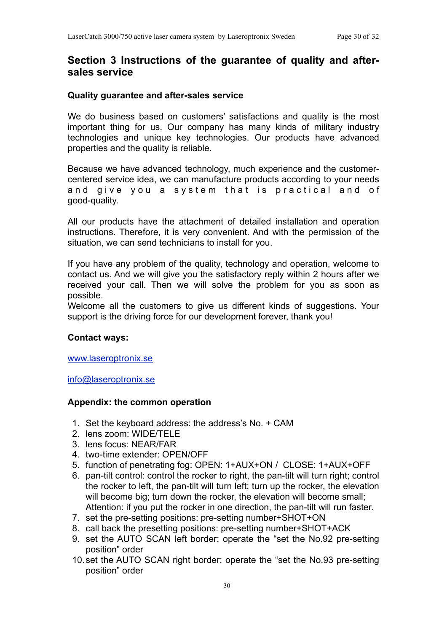# **Section 3 Instructions of the guarantee of quality and aftersales service**

#### **Quality guarantee and after-sales service**

We do business based on customers' satisfactions and quality is the most important thing for us. Our company has many kinds of military industry technologies and unique key technologies. Our products have advanced properties and the quality is reliable.

Because we have advanced technology, much experience and the customercentered service idea, we can manufacture products according to your needs and give you a system that is practical and of good-quality.

All our products have the attachment of detailed installation and operation instructions. Therefore, it is very convenient. And with the permission of the situation, we can send technicians to install for you.

If you have any problem of the quality, technology and operation, welcome to contact us. And we will give you the satisfactory reply within 2 hours after we received your call. Then we will solve the problem for you as soon as possible.

Welcome all the customers to give us different kinds of suggestions. Your support is the driving force for our development forever, thank you!

#### **Contact ways:**

#### [www.laseroptronix.se](http://www.laseroptronix.se)

[info@laseroptronix.se](mailto:info@laseroptronix.se)

#### **Appendix: the common operation**

- 1. Set the keyboard address: the address's No. + CAM
- 2. lens zoom: WIDE/TELE
- 3. lens focus: NEAR/FAR
- 4. two-time extender: OPEN/OFF
- 5. function of penetrating fog: OPEN: 1+AUX+ON / CLOSE: 1+AUX+OFF
- 6. pan-tilt control: control the rocker to right, the pan-tilt will turn right; control the rocker to left, the pan-tilt will turn left; turn up the rocker, the elevation will become big; turn down the rocker, the elevation will become small; Attention: if you put the rocker in one direction, the pan-tilt will run faster.
- 7. set the pre-setting positions: pre-setting number+SHOT+ON
- 8. call back the presetting positions: pre-setting number+SHOT+ACK
- 9. set the AUTO SCAN left border: operate the "set the No.92 pre-setting position" order
- 10.set the AUTO SCAN right border: operate the "set the No.93 pre-setting position" order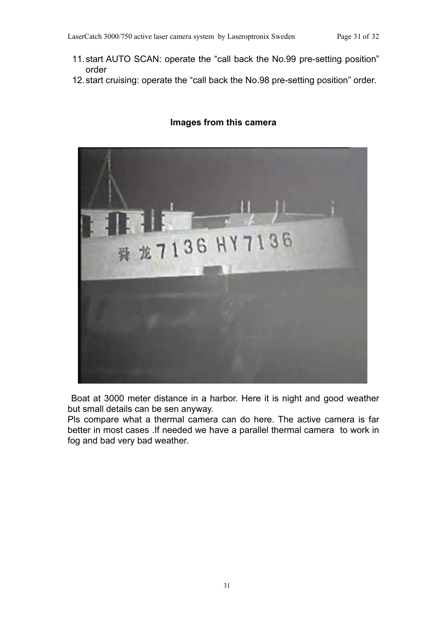- 11.start AUTO SCAN: operate the "call back the No.99 pre-setting position" order
- 12.start cruising: operate the "call back the No.98 pre-setting position" order.

# 龙7136 HY7136

#### **Images from this camera**

Boat at 3000 meter distance in a harbor. Here it is night and good weather but small details can be sen anyway.

Pls compare what a thermal camera can do here. The active camera is far better in most cases .If needed we have a parallel thermal camera to work in fog and bad very bad weather.